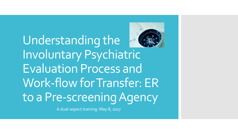# Understanding the Involuntary Psychiatric Evaluation Process and Work-flow for Transfer: ER to a Pre-screening Agency

A dual-aspect training: May 8, 2017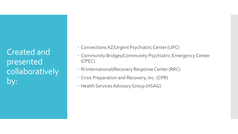Created and presented collaboratively by:

- Connections AZ/Urgent Psychiatric Center (UPC)
- Community Bridges/Community Psychiatric Emergency Center (CPEC)
- RI International/Recovery Response Center (RRC)
- Crisis Preparation and Recovery, Inc. (CPR)
- Health Services Advisory Group (HSAG)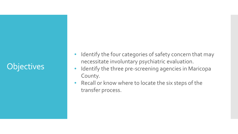# **Objectives**

- Identify the four categories of safety concern that may necessitate involuntary psychiatric evaluation.
- Identify the three pre-screening agencies in Maricopa County.
- Recall or know where to locate the six steps of the transfer process.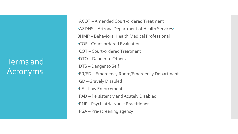Terms and Acronyms

ACOT –Amended Court-ordered Treatment AZDHS –Arizona Department of Health Services BHMP – Behavioral Health Medical Professional COE - Court-ordered Evaluation COT – Court-ordered Treatment DTO – Danger to Others DTS – Danger to Self ER/ED – Emergency Room/Emergency Department GD –Gravely Disabled LE – Law Enforcement PAD – Persistently and Acutely Disabled PNP - Psychiatric Nurse Practitioner PSA – Pre-screening agency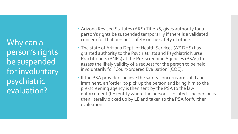Why can a person's rights be suspended for involuntary psychiatric evaluation?

- Arizona Revised Statutes (ARS) Title 36, gives authority for a person's rights be suspended temporarily if there is a validated concern for that person's safety or the safety of others.
- The state of Arizona Dept. of Health Services (AZ DHS) has granted authority to the Psychiatrists and Psychiatric Nurse Practitioners (PNPs) at the Pre-screening Agencies (PSAs) to assess the likely validity of a request for the person to be held involuntarily for 'Court-ordered Evaluation' (COE).
- If the PSA providers believe the safety concerns are valid and imminent, an 'order' to pick up the person and bring him to the pre-screening agency is then sent by the PSA to the law enforcement (LE) entity where the person is located. The person is then literally picked up by LE and taken to the PSA for further evaluation.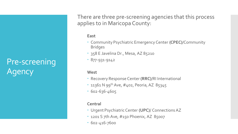# Pre-screening Agency

There are three pre-screening agencies that this process applies to in Maricopa County:

#### **East**

- Community Psychiatric Emergency Center **(CPEC)**/Community Bridges
- \* 358 E Javelina Dr., Mesa, AZ 85210
- 877-931-9142

#### **West**

- Recovery Response Center **(RRC)**/RI International
- 11361 N 99<sup>th</sup> Ave, #402, Peoria, AZ 85345
- 602-636-4605

#### **Central**

- Urgent Psychiatric Center **(UPC)**/ Connections AZ
- 1201 S 7th Ave, #150 Phoenix, AZ 85007
- 602-416-7600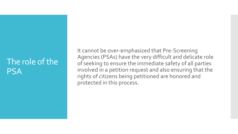## The role of the **PSA**

It cannot be over-emphasized that Pre-Screening Agencies (PSAs) have the very difficult and delicate role of seeking to ensure the immediate safety of all parties involved in a petition request and also ensuring that the rights of citizens being petitioned are honored and protected in this process.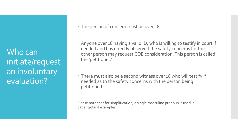Who can initiate/request an involuntary evaluation?

• The person of concern must be over 18

 Anyone over 18 having a valid ID, who is willing to testify in court if needed and has directly observed the safety concerns for the other person may request COE consideration. This person is called the 'petitioner.'

 There must also be a second witness over 18 who will testify if needed as to the safety concerns with the person being petitioned.

Please note that for simplification, a single masculine pronoun is used in patient/client examples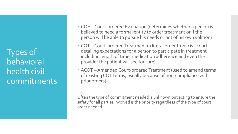Types of behavioral health civil commitments

- COE Court-ordered Evaluation (determines whether a person is believed to need a formal entity to order treatment or if the person will be able to pursue his needs or not of his own volition)
- COT Court-ordered Treatment (a literal order from civil court detailing expectations for a person to participate in treatment, including length of time, medication adherence and even the provider the patient will see for care)
- ACOT Amended Court-ordered Treatment (used to amend terms of existing COT terms, usually because of non-compliance with prior orders)

Often the type of commitment needed is unknown but acting to ensure the safety for all parties involved is the priority regardless of the type of court order needed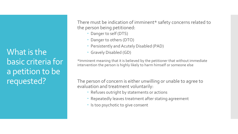What is the basic criteria for a petition to be requested?

There must be indication of imminent\* safety concerns related to the person being petitioned:

- Danger to self (DTS)
- Danger to others (DTO)
- Persistently and Acutely Disabled (PAD)
- Gravely Disabled (GD)

\*Imminent meaning that it is believed by the petitioner that without immediate intervention the person is highly likely to harm himself or someone else

The person of concern is either unwilling or unable to agree to evaluation and treatment voluntarily:

- Refuses outright by statements or actions
- Repeatedly leaves treatment after stating agreement
- Is too psychotic to give consent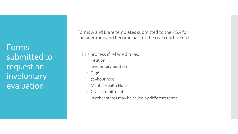Forms submitted to request an involuntary evaluation

Forms A and B are templates submitted to the PSA for consideration and become part of the civil court record.

- This process if referred to as:
	- Petition
	- Involuntary petition
	- $\cdot$  T-36
	- 72–hour hold
	- Mental Health Hold
	- Civil commitment
	- In other states may be called by different terms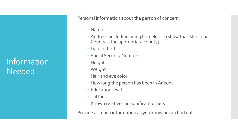# Information Needed

Personal information about the person of concern:

- Name
- Address (including being homeless to show that Maricopa County is the appropriate county)
- Date of birth
- Social Security Number
- Height
- Weight
- Hair and eye color
- How long the person has been in Arizona
- Education level
- Tattoos
- Known relatives or significant others

Provide as much information as you know or can find out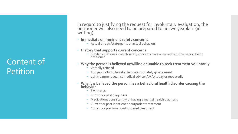### Content of Petition

In regard to justifying the request for involuntary evaluation, the petitioner will alsó need to be prepared to answer/explain (in writing):

- **Immediate or imminent safety concerns** 
	- Actual threats/statements or actual behaviors
- **History that supports current concerns**
	- Similar situations in which safety concerns have occurred with the person being petitioned
- **Why the person is believed unwilling or unable to seek treatment voluntarily** 
	- Verbally refused
	- Too psychotic to be reliable or appropriately give consent
	- Left treatment against medical advice (AMA) today or repeatedly
- **Why it is believed the person has a behavioral health disorder causing the behavior** 
	- SMI status
	- Current or past diagnoses
	- Medications consistent with having a mental health diagnosis
	- Current or past inpatient or outpatient treatment
	- Current or previous court-ordered treatment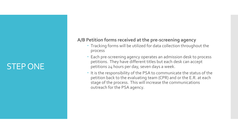# STEP ONE

### **A/B Petition forms received at the pre-screening agency**

- Tracking forms will be utilized for data collection throughout the process
- Each pre-screening agency operates an admission desk to process petitions. They have different titles but each desk can accept petitions 24 hours per day, seven days a week.
- $\cdot$  It is the responsibility of the PSA to communicate the status of the petition back to the evaluating team (CPR) and or the E.R. at each stage of the process. This will increase the communications outreach for the PSA agency.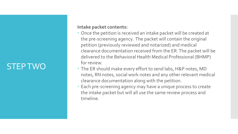# STEP TWO

#### **Intake packet contents:**

- Once the petition is received an intake packet will be created at the pre-screening agency. The packet will contain the original petition (previously reviewed and notarized) and medical clearance documentation received from the ER. The packet will be delivered to the Behavioral Health Medical Professional (BHMP) for review.
- The ER should make every effort to send labs, H&P notes, MD notes, RN notes, social work notes and any other relevant medical clearance documentation along with the petition.
- Each pre-screening agency may have a unique process to create the intake packet but will all use the same review process and timeline.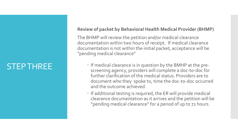### STEP THREE

### **Review of packet by Behavioral Health Medical Provider (BHMP)**

The BHMP will review the petition and/or medical clearance documentation within two hours of receipt. If medical clearance documentation is not within the initial packet, acceptance will be "pending medical clearance"

- $\cdot$  If medical clearance is in question by the BMHP at the prescreening agency, providers will complete a doc-to-doc for further clarification of the medical status. Providers are to document who they spoke to, time the doc-to-doc occurred and the outcome achieved.
- If additional testing is required, the ER will provide medical clearance documentation as it arrives and the petition will be "pending medical clearance" for a period of up to 72 hours.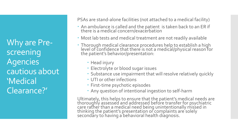Why are Prescreening Agencies cautious about 'Medical Clearance?'

PSAs are stand-alone facilities (not attached to a medical facility)

- An ambulance is called and the patient is taken back to an ER if there is a medical concern/exacerbation
- Most lab tests and medical treatment are not readily available
- Thorough medical clearance procedures help to establish a high level of confidence that there is not a medical/physical reason for the patient's behavior/presentation:
	- Head injury
	- Electrolyte or blood sugar issues
	- Substance use impairment that will resolve relatively quickly
	- UTI or other infections
	- First-time psychotic episodes
	- Any question of intentional ingestion to self-harm

Ultimately, this helps to ensure that the patient's medical needs are<br>thoroughly assessed and addressed before transfer for psychiatric care rather than a medical need being unintentionally missed in thinking the patient's presentation or complaints are solely secondary to having a behavioral health diagnosis.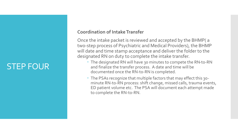### STEP FOUR

### **Coordination of Intake Transfer**

Once the intake packet is reviewed and accepted by the BHMP( a two-step process of Psychiatric and Medical Providers), the BHMP will date and time stamp acceptance and deliver the folder to the designated RN on duty to complete the intake transfer.

- The designated RN will have 30 minutes to compete the RN-to-RN and finalize the transfer process. A date and time will be documented once the RN-to-RN is completed.
- The PSAs recognize that multiple factors that may effect this 30 minute RN-to-RN process: shift change, missed calls, trauma events, ED patient volume etc. The PSA will document each attempt made to complete the RN-to-RN.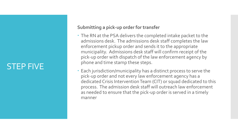### STEP FIVE

### **Submitting a pick-up order for transfer**

- The RN at the PSA delivers the completed intake packet to the admissions desk. The admissions desk staff completes the law enforcement pickup order and sends it to the appropriate municipality. Admissions desk staff will confirm receipt of the pick-up order with dispatch of the law enforcement agency by phone and time stamp these steps.
- Each jurisdiction/municipality has a distinct process to serve the pick-up order and not every law enforcement agency has a dedicated Crisis Intervention Team (CIT) or squad dedicated to this process. The admission desk staff will outreach law enforcement as needed to ensure that the pick-up order is served in a timely manner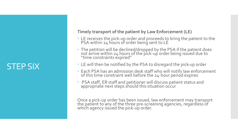### STEP SIX

### **Timely transport of the patient by Law Enforcement (LE)**

- LE receives the pick-up order and proceeds to bring the patient to the PSA within 24 hours of order being sent to LE
- The petition will be declined/dropped by the PSA if the patient does not arrive within 24 hours of the pick-up order being issued due to<br>"time constraints expired"
- LE will then be notified by the PSA to disregard the pick-up order
- Each PSA has an admission desk staff who will notify law enforcement of this time constraint well before the 24-hour period expires
- PSA staff, ER staff and petitioner will discuss patient status and appropriate next steps should this situation occur

Once a pick-up order has been issued, law enforcement may transport the patient to any of the three pre-screening agencies, regardless of which agency issued the pick-up order.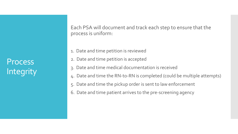**Process Integrity**  Each PSA will document and track each step to ensure that the process is uniform:

- 1. Date and time petition is reviewed
- 2. Date and time petition is accepted
- 3. Date and time medical documentation is received
- 4. Date and time the RN-to-RN is completed (could be multiple attempts)
- 5. Date and time the pickup order is sent to law enforcement
- 6. Date and time patient arrives to the pre-screening agency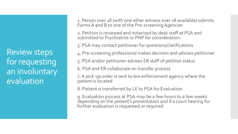Review steps for requesting an involuntary evaluation

1. Person over 18 (with one other witness over 18 available) submits Forms A and B to one of the Pre-screening Agencies

2. Petition is reviewed and notarized by desk staff at PSA and submitted to Psychiatrist or PNP for consideration

3. PSA may contact petitioner for questions/clarifications

4. Pre-screening professional makes decision and advises petitioner

5. PSA and/or petitioner advises ER staff of petition status

6. PSA and ER collaborate on transfer process

7. A pick-up order is sent to law enforcement agency where the patient is located

8. Patient is transferred by LE to PSA for Evaluation

9. Evaluation process at PSA may be a few hours to a few weeks depending on the patient's presentation and if a court hearing for further evaluation is requested or required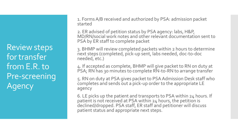Review steps for transfer from E.R. to Pre-screening Agency

1. Forms A/B received and authorized by PSA: admission packet started

2. ER advised of petition status by PSA agency: labs, H&P, MD/RN/social work notes and other relevant documentation sent to PSA by ER staff to complete packet

3. BHMP will review completed packets within 2 hours to determine next steps (completed, pick-up sent, labs needed, doc-to-doc needed, etc.)

4. If accepted as complete, BHMP will give packet to RN on duty at PSA; RN has 30 minutes to complete RN-to-RN to arrange transfer

5. RN on duty at PSA gives packet to PSA Admission Desk staff who completes and sends out a pick-up order to the appropriate LE agency

6. LE picks up the patient and transports to PSA within 24 hours. If patient is not received at PSA within 24 hours, the petition is declined/dropped. PSA staff, ER staff and petitioner will discuss patient status and appropriate next steps.